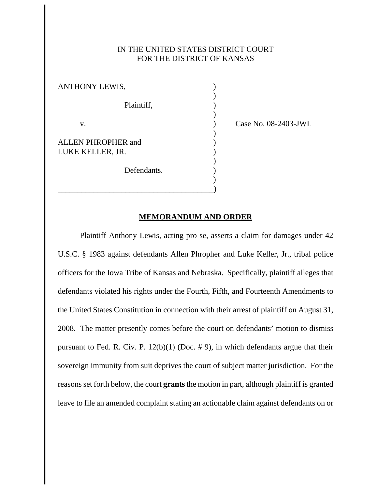## IN THE UNITED STATES DISTRICT COURT FOR THE DISTRICT OF KANSAS

)

)

)

)

)

ANTHONY LEWIS, Plaintiff, (a) v. **Case No. 08-2403-JWL** ALLEN PHROPHER and ) LUKE KELLER, JR. Defendants.

\_\_\_\_\_\_\_\_\_\_\_\_\_\_\_\_\_\_\_\_\_\_\_\_\_\_\_\_\_\_\_\_\_\_\_\_\_\_\_)

## **MEMORANDUM AND ORDER**

Plaintiff Anthony Lewis, acting pro se, asserts a claim for damages under 42 U.S.C. § 1983 against defendants Allen Phropher and Luke Keller, Jr., tribal police officers for the Iowa Tribe of Kansas and Nebraska. Specifically, plaintiff alleges that defendants violated his rights under the Fourth, Fifth, and Fourteenth Amendments to the United States Constitution in connection with their arrest of plaintiff on August 31, 2008. The matter presently comes before the court on defendants' motion to dismiss pursuant to Fed. R. Civ. P.  $12(b)(1)$  (Doc. #9), in which defendants argue that their sovereign immunity from suit deprives the court of subject matter jurisdiction. For the reasons set forth below, the court **grants** the motion in part, although plaintiff is granted leave to file an amended complaint stating an actionable claim against defendants on or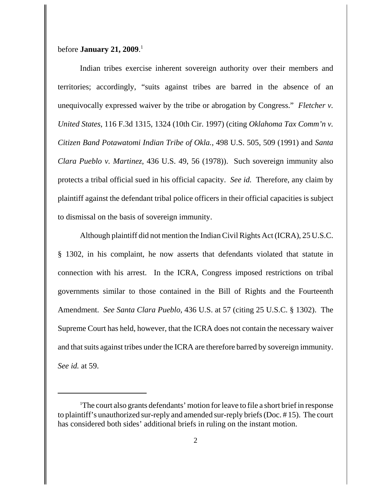## before **January 21, 2009**. 1

Indian tribes exercise inherent sovereign authority over their members and territories; accordingly, "suits against tribes are barred in the absence of an unequivocally expressed waiver by the tribe or abrogation by Congress." *Fletcher v. United States*, 116 F.3d 1315, 1324 (10th Cir. 1997) (citing *Oklahoma Tax Comm'n v. Citizen Band Potawatomi Indian Tribe of Okla.*, 498 U.S. 505, 509 (1991) and *Santa Clara Pueblo v. Martinez*, 436 U.S. 49, 56 (1978)). Such sovereign immunity also protects a tribal official sued in his official capacity. *See id.* Therefore, any claim by plaintiff against the defendant tribal police officers in their official capacities is subject to dismissal on the basis of sovereign immunity.

Although plaintiff did not mention the Indian Civil Rights Act (ICRA), 25 U.S.C. § 1302, in his complaint, he now asserts that defendants violated that statute in connection with his arrest. In the ICRA, Congress imposed restrictions on tribal governments similar to those contained in the Bill of Rights and the Fourteenth Amendment. *See Santa Clara Pueblo*, 436 U.S. at 57 (citing 25 U.S.C. § 1302). The Supreme Court has held, however, that the ICRA does not contain the necessary waiver and that suits against tribes under the ICRA are therefore barred by sovereign immunity. *See id.* at 59.

<sup>&</sup>lt;sup>1</sup>The court also grants defendants' motion for leave to file a short brief in response to plaintiff's unauthorized sur-reply and amended sur-reply briefs (Doc. # 15). The court has considered both sides' additional briefs in ruling on the instant motion.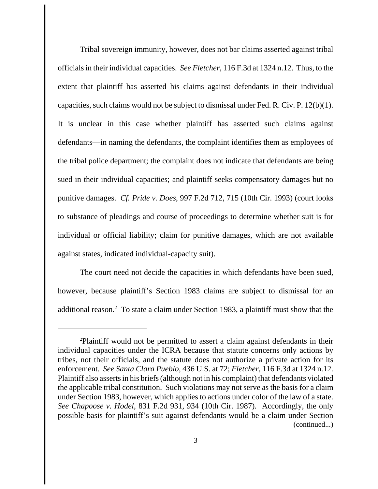Tribal sovereign immunity, however, does not bar claims asserted against tribal officials in their individual capacities. *See Fletcher*, 116 F.3d at 1324 n.12. Thus, to the extent that plaintiff has asserted his claims against defendants in their individual capacities, such claims would not be subject to dismissal under Fed. R. Civ. P. 12(b)(1). It is unclear in this case whether plaintiff has asserted such claims against defendants—in naming the defendants, the complaint identifies them as employees of the tribal police department; the complaint does not indicate that defendants are being sued in their individual capacities; and plaintiff seeks compensatory damages but no punitive damages. *Cf. Pride v. Does*, 997 F.2d 712, 715 (10th Cir. 1993) (court looks to substance of pleadings and course of proceedings to determine whether suit is for individual or official liability; claim for punitive damages, which are not available against states, indicated individual-capacity suit).

The court need not decide the capacities in which defendants have been sued, however, because plaintiff's Section 1983 claims are subject to dismissal for an additional reason.<sup>2</sup> To state a claim under Section 1983, a plaintiff must show that the

<sup>2</sup> Plaintiff would not be permitted to assert a claim against defendants in their individual capacities under the ICRA because that statute concerns only actions by tribes, not their officials, and the statute does not authorize a private action for its enforcement. *See Santa Clara Pueblo*, 436 U.S. at 72; *Fletcher*, 116 F.3d at 1324 n.12. Plaintiff also asserts in his briefs (although not in his complaint) that defendants violated the applicable tribal constitution. Such violations may not serve as the basis for a claim under Section 1983, however, which applies to actions under color of the law of a state. *See Chapoose v. Hodel*, 831 F.2d 931, 934 (10th Cir. 1987). Accordingly, the only possible basis for plaintiff's suit against defendants would be a claim under Section (continued...)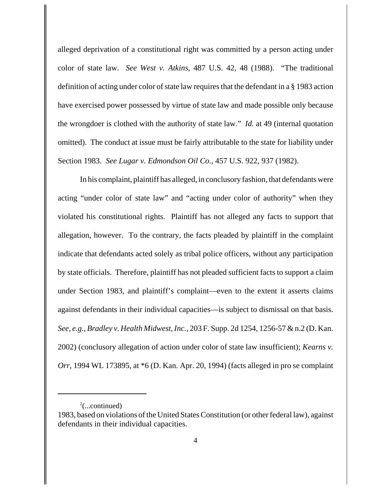alleged deprivation of a constitutional right was committed by a person acting under color of state law. *See West v. Atkins*, 487 U.S. 42, 48 (1988). "The traditional definition of acting under color of state law requires that the defendant in a § 1983 action have exercised power possessed by virtue of state law and made possible only because the wrongdoer is clothed with the authority of state law." *Id.* at 49 (internal quotation omitted). The conduct at issue must be fairly attributable to the state for liability under Section 1983. *See Lugar v. Edmondson Oil Co.*, 457 U.S. 922, 937 (1982).

In his complaint, plaintiff has alleged, in conclusory fashion, that defendants were acting "under color of state law" and "acting under color of authority" when they violated his constitutional rights. Plaintiff has not alleged any facts to support that allegation, however. To the contrary, the facts pleaded by plaintiff in the complaint indicate that defendants acted solely as tribal police officers, without any participation by state officials. Therefore, plaintiff has not pleaded sufficient facts to support a claim under Section 1983, and plaintiff's complaint—even to the extent it asserts claims against defendants in their individual capacities—is subject to dismissal on that basis. *See, e.g.*, *Bradley v. Health Midwest, Inc.*, 203 F. Supp. 2d 1254, 1256-57 & n.2 (D. Kan. 2002) (conclusory allegation of action under color of state law insufficient); *Kearns v. Orr*, 1994 WL 173895, at \*6 (D. Kan. Apr. 20, 1994) (facts alleged in pro se complaint

 $2$ (...continued)

<sup>1983,</sup> based on violations of the United States Constitution (or other federal law), against defendants in their individual capacities.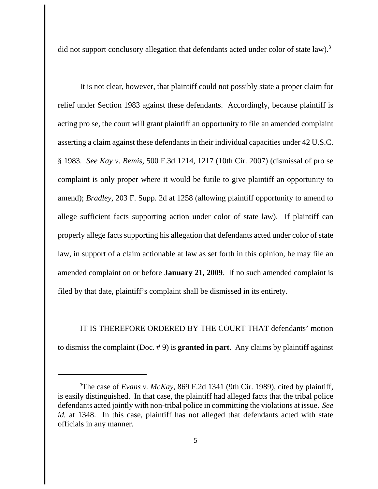did not support conclusory allegation that defendants acted under color of state law).<sup>3</sup>

It is not clear, however, that plaintiff could not possibly state a proper claim for relief under Section 1983 against these defendants. Accordingly, because plaintiff is acting pro se, the court will grant plaintiff an opportunity to file an amended complaint asserting a claim against these defendants in their individual capacities under 42 U.S.C. § 1983. *See Kay v. Bemis*, 500 F.3d 1214, 1217 (10th Cir. 2007) (dismissal of pro se complaint is only proper where it would be futile to give plaintiff an opportunity to amend); *Bradley*, 203 F. Supp. 2d at 1258 (allowing plaintiff opportunity to amend to allege sufficient facts supporting action under color of state law). If plaintiff can properly allege facts supporting his allegation that defendants acted under color of state law, in support of a claim actionable at law as set forth in this opinion, he may file an amended complaint on or before **January 21, 2009**. If no such amended complaint is filed by that date, plaintiff's complaint shall be dismissed in its entirety.

IT IS THEREFORE ORDERED BY THE COURT THAT defendants' motion to dismiss the complaint (Doc. # 9) is **granted in part**. Any claims by plaintiff against

<sup>3</sup> The case of *Evans v. McKay*, 869 F.2d 1341 (9th Cir. 1989), cited by plaintiff, is easily distinguished. In that case, the plaintiff had alleged facts that the tribal police defendants acted jointly with non-tribal police in committing the violations at issue. *See id.* at 1348. In this case, plaintiff has not alleged that defendants acted with state officials in any manner.